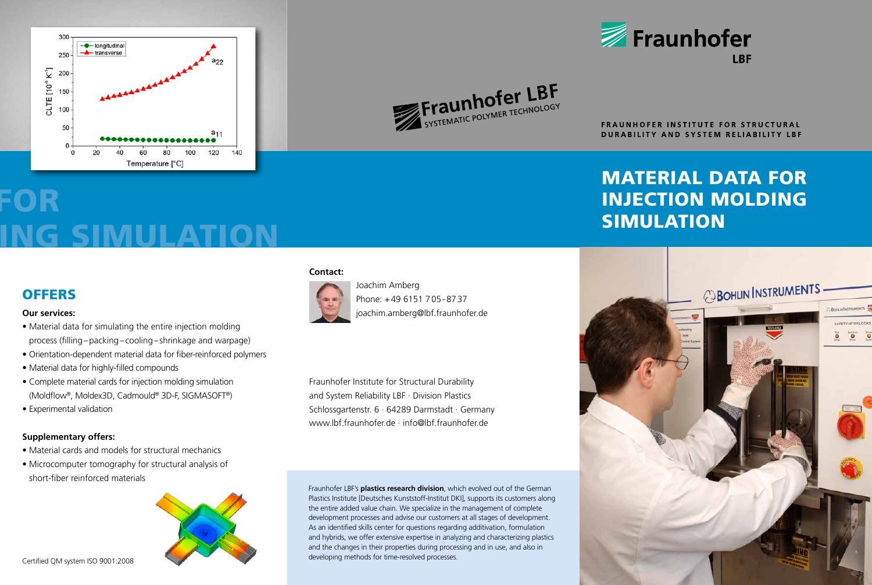



FRAUNHOFER INSTITUTE FOR STRUCTURAL **DURABILITY AND SYSTEM RELIABILITY LBF** 

**IRF** 

Fraunhofer

## MATERIAL DATA FOR INJECTION MOLDING SIMULATION



# FOR ING SIMULATION

### **OFFERS**

### **Our services:**

- Material data for simulating the entire injection molding process (filling–packing– cooling–shrinkage and warpage)
- Orientation-dependent material data for fiber-reinforced polymers
- Material data for highly-filled compounds
- Complete material cards for injection molding simulation (Moldflow®, Moldex3D, Cadmould® 3D-F, SIGMASOFT®)
- Experimental validation

### **Supplementary offers:**

- Material cards and models for structural mechanics
- Microcomputer tomography for structural analysis of short-fiber reinforced materials



#### **Contact:**



Phone: +49 6151 705-8737 joachim.amberg@lbf.fraunhofer.de

Fraunhofer Institute for Structural Durability and System Reliability LBF · Division Plastics Schlossgartenstr. 6 · 64289 Darmstadt · Germany www.lbf.fraunhofer.de · info@lbf.fraunhofer.de

Fraunhofer LBF's **plastics research division**, which evolved out of the German Plastics Institute [Deutsches Kunststoff-Institut DKI], supports its customers along the entire added value chain. We specialize in the management of complete development processes and advise our customers at all stages of development. As an identified skills center for questions regarding additivation, formulation and hybrids, we offer extensive expertise in analyzing and characterizing plastics and the changes in their properties during processing and in use, and also in